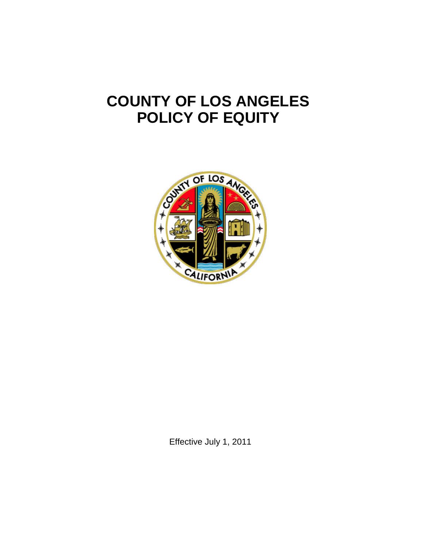# **COUNTY OF LOS ANGELES POLICY OF EQUITY**



Effective July 1, 2011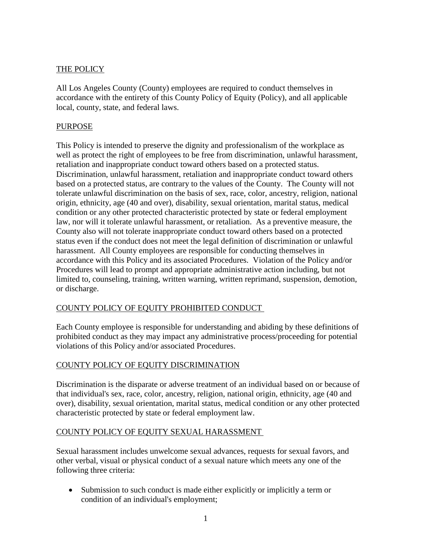#### THE POLICY

All Los Angeles County (County) employees are required to conduct themselves in accordance with the entirety of this County Policy of Equity (Policy), and all applicable local, county, state, and federal laws.

#### PURPOSE

This Policy is intended to preserve the dignity and professionalism of the workplace as well as protect the right of employees to be free from discrimination, unlawful harassment, retaliation and inappropriate conduct toward others based on a protected status. Discrimination, unlawful harassment, retaliation and inappropriate conduct toward others based on a protected status, are contrary to the values of the County. The County will not tolerate unlawful discrimination on the basis of sex, race, color, ancestry, religion, national origin, ethnicity, age (40 and over), disability, sexual orientation, marital status, medical condition or any other protected characteristic protected by state or federal employment law, nor will it tolerate unlawful harassment, or retaliation. As a preventive measure, the County also will not tolerate inappropriate conduct toward others based on a protected status even if the conduct does not meet the legal definition of discrimination or unlawful harassment. All County employees are responsible for conducting themselves in accordance with this Policy and its associated Procedures. Violation of the Policy and/or Procedures will lead to prompt and appropriate administrative action including, but not limited to, counseling, training, written warning, written reprimand, suspension, demotion, or discharge.

## COUNTY POLICY OF EQUITY PROHIBITED CONDUCT

Each County employee is responsible for understanding and abiding by these definitions of prohibited conduct as they may impact any administrative process/proceeding for potential violations of this Policy and/or associated Procedures.

## COUNTY POLICY OF EQUITY DISCRIMINATION

Discrimination is the disparate or adverse treatment of an individual based on or because of that individual's sex, race, color, ancestry, religion, national origin, ethnicity, age (40 and over), disability, sexual orientation, marital status, medical condition or any other protected characteristic protected by state or federal employment law.

## COUNTY POLICY OF EQUITY SEXUAL HARASSMENT

Sexual harassment includes unwelcome sexual advances, requests for sexual favors, and other verbal, visual or physical conduct of a sexual nature which meets any one of the following three criteria:

• Submission to such conduct is made either explicitly or implicitly a term or condition of an individual's employment;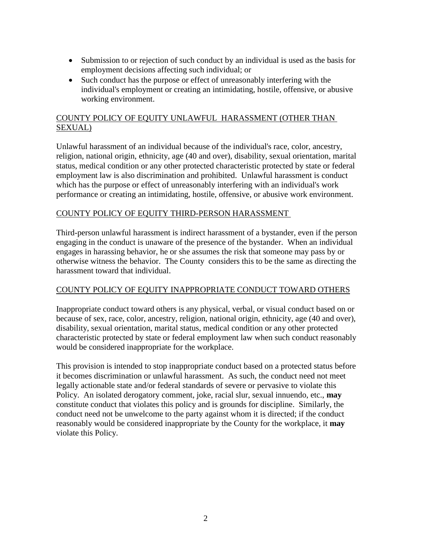- Submission to or rejection of such conduct by an individual is used as the basis for employment decisions affecting such individual; or
- Such conduct has the purpose or effect of unreasonably interfering with the individual's employment or creating an intimidating, hostile, offensive, or abusive working environment.

# COUNTY POLICY OF EQUITY UNLAWFUL HARASSMENT (OTHER THAN SEXUAL)

Unlawful harassment of an individual because of the individual's race, color, ancestry, religion, national origin, ethnicity, age (40 and over), disability, sexual orientation, marital status, medical condition or any other protected characteristic protected by state or federal employment law is also discrimination and prohibited. Unlawful harassment is conduct which has the purpose or effect of unreasonably interfering with an individual's work performance or creating an intimidating, hostile, offensive, or abusive work environment.

# COUNTY POLICY OF EQUITY THIRD-PERSON HARASSMENT

Third-person unlawful harassment is indirect harassment of a bystander, even if the person engaging in the conduct is unaware of the presence of the bystander. When an individual engages in harassing behavior, he or she assumes the risk that someone may pass by or otherwise witness the behavior. The County considers this to be the same as directing the harassment toward that individual.

## COUNTY POLICY OF EQUITY INAPPROPRIATE CONDUCT TOWARD OTHERS

Inappropriate conduct toward others is any physical, verbal, or visual conduct based on or because of sex, race, color, ancestry, religion, national origin, ethnicity, age (40 and over), disability, sexual orientation, marital status, medical condition or any other protected characteristic protected by state or federal employment law when such conduct reasonably would be considered inappropriate for the workplace.

This provision is intended to stop inappropriate conduct based on a protected status before it becomes discrimination or unlawful harassment. As such, the conduct need not meet legally actionable state and/or federal standards of severe or pervasive to violate this Policy. An isolated derogatory comment, joke, racial slur, sexual innuendo, etc., **may** constitute conduct that violates this policy and is grounds for discipline. Similarly, the conduct need not be unwelcome to the party against whom it is directed; if the conduct reasonably would be considered inappropriate by the County for the workplace, it **may** violate this Policy.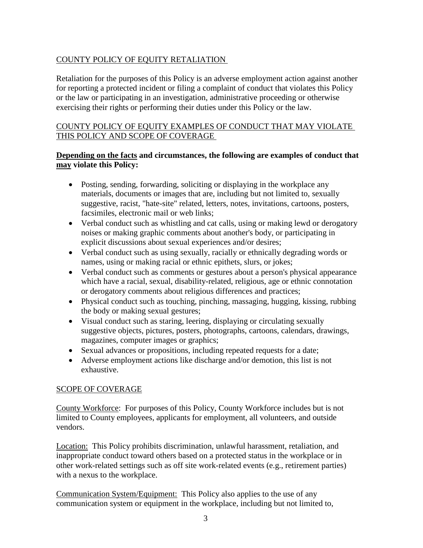# COUNTY POLICY OF EQUITY RETALIATION

Retaliation for the purposes of this Policy is an adverse employment action against another for reporting a protected incident or filing a complaint of conduct that violates this Policy or the law or participating in an investigation, administrative proceeding or otherwise exercising their rights or performing their duties under this Policy or the law.

## COUNTY POLICY OF EQUITY EXAMPLES OF CONDUCT THAT MAY VIOLATE THIS POLICY AND SCOPE OF COVERAGE

#### **Depending on the facts and circumstances, the following are examples of conduct that may violate this Policy:**

- Posting, sending, forwarding, soliciting or displaying in the workplace any materials, documents or images that are, including but not limited to, sexually suggestive, racist, "hate-site" related, letters, notes, invitations, cartoons, posters, facsimiles, electronic mail or web links;
- Verbal conduct such as whistling and cat calls, using or making lewd or derogatory noises or making graphic comments about another's body, or participating in explicit discussions about sexual experiences and/or desires;
- Verbal conduct such as using sexually, racially or ethnically degrading words or names, using or making racial or ethnic epithets, slurs, or jokes;
- Verbal conduct such as comments or gestures about a person's physical appearance which have a racial, sexual, disability-related, religious, age or ethnic connotation or derogatory comments about religious differences and practices;
- Physical conduct such as touching, pinching, massaging, hugging, kissing, rubbing the body or making sexual gestures;
- Visual conduct such as staring, leering, displaying or circulating sexually suggestive objects, pictures, posters, photographs, cartoons, calendars, drawings, magazines, computer images or graphics;
- Sexual advances or propositions, including repeated requests for a date;
- Adverse employment actions like discharge and/or demotion, this list is not exhaustive.

## SCOPE OF COVERAGE

County Workforce: For purposes of this Policy, County Workforce includes but is not limited to County employees, applicants for employment, all volunteers, and outside vendors.

Location: This Policy prohibits discrimination, unlawful harassment, retaliation, and inappropriate conduct toward others based on a protected status in the workplace or in other work-related settings such as off site work-related events (e.g., retirement parties) with a nexus to the workplace.

Communication System/Equipment: This Policy also applies to the use of any communication system or equipment in the workplace, including but not limited to,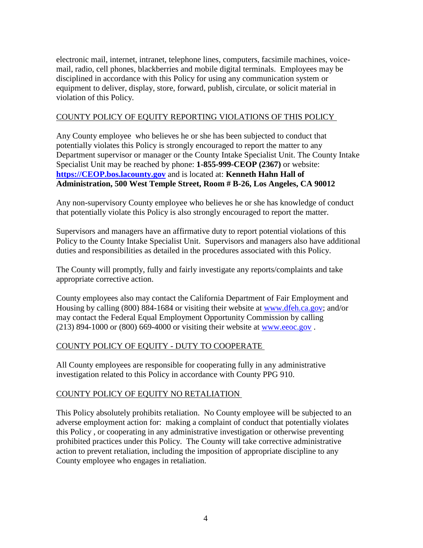electronic mail, internet, intranet, telephone lines, computers, facsimile machines, voicemail, radio, cell phones, blackberries and mobile digital terminals. Employees may be disciplined in accordance with this Policy for using any communication system or equipment to deliver, display, store, forward, publish, circulate, or solicit material in violation of this Policy.

#### COUNTY POLICY OF EQUITY REPORTING VIOLATIONS OF THIS POLICY

Any County employee who believes he or she has been subjected to conduct that potentially violates this Policy is strongly encouraged to report the matter to any Department supervisor or manager or the County Intake Specialist Unit. The County Intake Specialist Unit may be reached by phone: **1-855-999-CEOP (2367)** or website: **[https://CEOP.bos.lacounty.gov](https://ceop.bos.lacounty.gov/)** and is located at: **Kenneth Hahn Hall of Administration, 500 West Temple Street, Room # B-26, Los Angeles, CA 90012**

Any non-supervisory County employee who believes he or she has knowledge of conduct that potentially violate this Policy is also strongly encouraged to report the matter.

Supervisors and managers have an affirmative duty to report potential violations of this Policy to the County Intake Specialist Unit. Supervisors and managers also have additional duties and responsibilities as detailed in the procedures associated with this Policy.

The County will promptly, fully and fairly investigate any reports/complaints and take appropriate corrective action.

County employees also may contact the California Department of Fair Employment and Housing by calling (800) 884-1684 or visiting their website at [www.dfeh.ca.gov;](http://www.dfeh.ca.gov/) and/or may contact the Federal Equal Employment Opportunity Commission by calling  $(213)$  894-1000 or  $(800)$  669-4000 or visiting their website at [www.eeoc.gov](http://www.eeoc.gov./).

## COUNTY POLICY OF EQUITY - DUTY TO COOPERATE

All County employees are responsible for cooperating fully in any administrative investigation related to this Policy in accordance with County PPG 910.

## COUNTY POLICY OF EQUITY NO RETALIATION

This Policy absolutely prohibits retaliation. No County employee will be subjected to an adverse employment action for: making a complaint of conduct that potentially violates this Policy , or cooperating in any administrative investigation or otherwise preventing prohibited practices under this Policy. The County will take corrective administrative action to prevent retaliation, including the imposition of appropriate discipline to any County employee who engages in retaliation.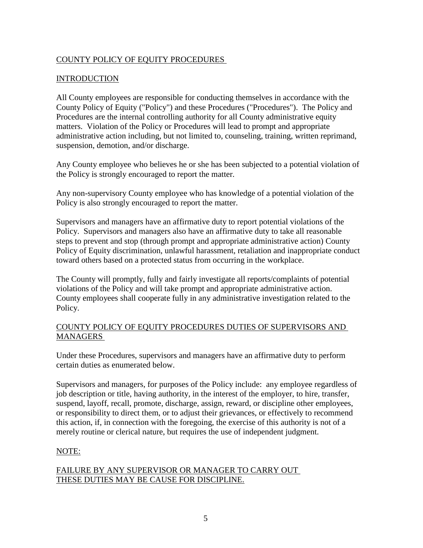## COUNTY POLICY OF EQUITY PROCEDURES

#### INTRODUCTION

All County employees are responsible for conducting themselves in accordance with the County Policy of Equity ("Policy") and these Procedures ("Procedures"). The Policy and Procedures are the internal controlling authority for all County administrative equity matters. Violation of the Policy or Procedures will lead to prompt and appropriate administrative action including, but not limited to, counseling, training, written reprimand, suspension, demotion, and/or discharge.

Any County employee who believes he or she has been subjected to a potential violation of the Policy is strongly encouraged to report the matter.

Any non-supervisory County employee who has knowledge of a potential violation of the Policy is also strongly encouraged to report the matter.

Supervisors and managers have an affirmative duty to report potential violations of the Policy. Supervisors and managers also have an affirmative duty to take all reasonable steps to prevent and stop (through prompt and appropriate administrative action) County Policy of Equity discrimination, unlawful harassment, retaliation and inappropriate conduct toward others based on a protected status from occurring in the workplace.

The County will promptly, fully and fairly investigate all reports/complaints of potential violations of the Policy and will take prompt and appropriate administrative action. County employees shall cooperate fully in any administrative investigation related to the Policy.

#### COUNTY POLICY OF EQUITY PROCEDURES DUTIES OF SUPERVISORS AND MANAGERS

Under these Procedures, supervisors and managers have an affirmative duty to perform certain duties as enumerated below.

Supervisors and managers, for purposes of the Policy include: any employee regardless of job description or title, having authority, in the interest of the employer, to hire, transfer, suspend, layoff, recall, promote, discharge, assign, reward, or discipline other employees, or responsibility to direct them, or to adjust their grievances, or effectively to recommend this action, if, in connection with the foregoing, the exercise of this authority is not of a merely routine or clerical nature, but requires the use of independent judgment.

## NOTE:

#### FAILURE BY ANY SUPERVISOR OR MANAGER TO CARRY OUT THESE DUTIES MAY BE CAUSE FOR DISCIPLINE.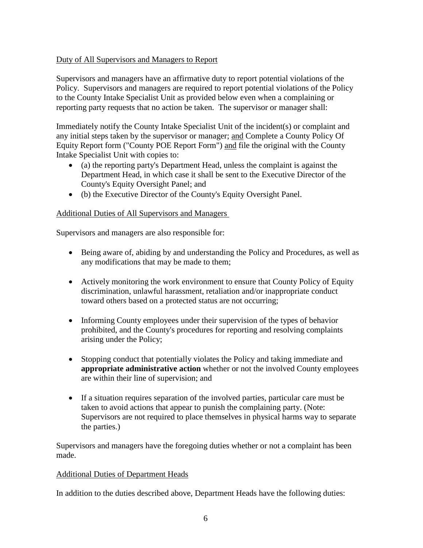## Duty of All Supervisors and Managers to Report

Supervisors and managers have an affirmative duty to report potential violations of the Policy. Supervisors and managers are required to report potential violations of the Policy to the County Intake Specialist Unit as provided below even when a complaining or reporting party requests that no action be taken. The supervisor or manager shall:

Immediately notify the County Intake Specialist Unit of the incident(s) or complaint and any initial steps taken by the supervisor or manager; and Complete a County Policy Of Equity Report form ("County POE Report Form") and file the original with the County Intake Specialist Unit with copies to:

- (a) the reporting party's Department Head, unless the complaint is against the Department Head, in which case it shall be sent to the Executive Director of the County's Equity Oversight Panel; and
- (b) the Executive Director of the County's Equity Oversight Panel.

## Additional Duties of All Supervisors and Managers

Supervisors and managers are also responsible for:

- Being aware of, abiding by and understanding the Policy and Procedures, as well as any modifications that may be made to them;
- Actively monitoring the work environment to ensure that County Policy of Equity discrimination, unlawful harassment, retaliation and/or inappropriate conduct toward others based on a protected status are not occurring;
- Informing County employees under their supervision of the types of behavior prohibited, and the County's procedures for reporting and resolving complaints arising under the Policy;
- Stopping conduct that potentially violates the Policy and taking immediate and **appropriate administrative action** whether or not the involved County employees are within their line of supervision; and
- If a situation requires separation of the involved parties, particular care must be taken to avoid actions that appear to punish the complaining party. (Note: Supervisors are not required to place themselves in physical harms way to separate the parties.)

Supervisors and managers have the foregoing duties whether or not a complaint has been made.

## Additional Duties of Department Heads

In addition to the duties described above, Department Heads have the following duties: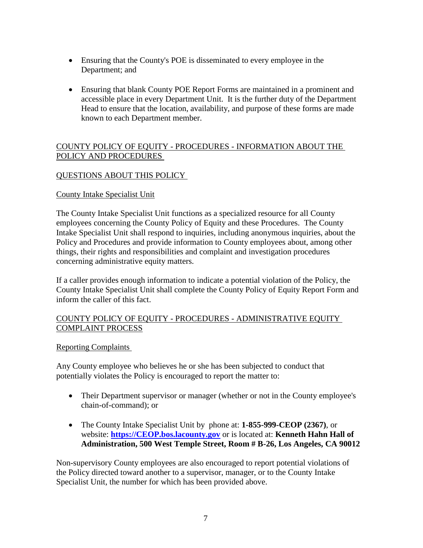- Ensuring that the County's POE is disseminated to every employee in the Department; and
- Ensuring that blank County POE Report Forms are maintained in a prominent and accessible place in every Department Unit. It is the further duty of the Department Head to ensure that the location, availability, and purpose of these forms are made known to each Department member.

# COUNTY POLICY OF EQUITY - PROCEDURES - INFORMATION ABOUT THE POLICY AND PROCEDURES

# QUESTIONS ABOUT THIS POLICY

#### County Intake Specialist Unit

The County Intake Specialist Unit functions as a specialized resource for all County employees concerning the County Policy of Equity and these Procedures. The County Intake Specialist Unit shall respond to inquiries, including anonymous inquiries, about the Policy and Procedures and provide information to County employees about, among other things, their rights and responsibilities and complaint and investigation procedures concerning administrative equity matters.

If a caller provides enough information to indicate a potential violation of the Policy, the County Intake Specialist Unit shall complete the County Policy of Equity Report Form and inform the caller of this fact.

## COUNTY POLICY OF EQUITY - PROCEDURES - ADMINISTRATIVE EQUITY COMPLAINT PROCESS

## Reporting Complaints

Any County employee who believes he or she has been subjected to conduct that potentially violates the Policy is encouraged to report the matter to:

- Their Department supervisor or manager (whether or not in the County employee's chain-of-command); or
- The County Intake Specialist Unit by phone at: **1-855-999-CEOP (2367)**, or website: **[https://CEOP.bos.lacounty.gov](https://ceop.bos.lacounty.gov/)** or is located at: **Kenneth Hahn Hall of Administration, 500 West Temple Street, Room # B-26, Los Angeles, CA 90012**

Non-supervisory County employees are also encouraged to report potential violations of the Policy directed toward another to a supervisor, manager, or to the County Intake Specialist Unit, the number for which has been provided above.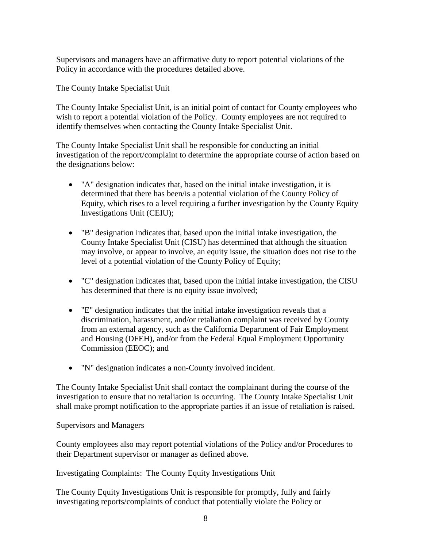Supervisors and managers have an affirmative duty to report potential violations of the Policy in accordance with the procedures detailed above.

#### The County Intake Specialist Unit

The County Intake Specialist Unit, is an initial point of contact for County employees who wish to report a potential violation of the Policy. County employees are not required to identify themselves when contacting the County Intake Specialist Unit.

The County Intake Specialist Unit shall be responsible for conducting an initial investigation of the report/complaint to determine the appropriate course of action based on the designations below:

- "A" designation indicates that, based on the initial intake investigation, it is determined that there has been/is a potential violation of the County Policy of Equity, which rises to a level requiring a further investigation by the County Equity Investigations Unit (CEIU);
- "B" designation indicates that, based upon the initial intake investigation, the County Intake Specialist Unit (CISU) has determined that although the situation may involve, or appear to involve, an equity issue, the situation does not rise to the level of a potential violation of the County Policy of Equity;
- "C" designation indicates that, based upon the initial intake investigation, the CISU has determined that there is no equity issue involved;
- "E" designation indicates that the initial intake investigation reveals that a discrimination, harassment, and/or retaliation complaint was received by County from an external agency, such as the California Department of Fair Employment and Housing (DFEH), and/or from the Federal Equal Employment Opportunity Commission (EEOC); and
- "N" designation indicates a non-County involved incident.

The County Intake Specialist Unit shall contact the complainant during the course of the investigation to ensure that no retaliation is occurring. The County Intake Specialist Unit shall make prompt notification to the appropriate parties if an issue of retaliation is raised.

#### Supervisors and Managers

County employees also may report potential violations of the Policy and/or Procedures to their Department supervisor or manager as defined above.

#### Investigating Complaints: The County Equity Investigations Unit

The County Equity Investigations Unit is responsible for promptly, fully and fairly investigating reports/complaints of conduct that potentially violate the Policy or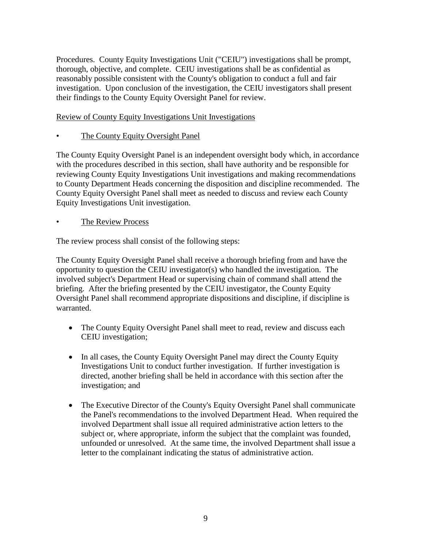Procedures. County Equity Investigations Unit ("CEIU") investigations shall be prompt, thorough, objective, and complete. CEIU investigations shall be as confidential as reasonably possible consistent with the County's obligation to conduct a full and fair investigation. Upon conclusion of the investigation, the CEIU investigators shall present their findings to the County Equity Oversight Panel for review.

#### Review of County Equity Investigations Unit Investigations

• The County Equity Oversight Panel

The County Equity Oversight Panel is an independent oversight body which, in accordance with the procedures described in this section, shall have authority and be responsible for reviewing County Equity Investigations Unit investigations and making recommendations to County Department Heads concerning the disposition and discipline recommended. The County Equity Oversight Panel shall meet as needed to discuss and review each County Equity Investigations Unit investigation.

The Review Process

The review process shall consist of the following steps:

The County Equity Oversight Panel shall receive a thorough briefing from and have the opportunity to question the CEIU investigator(s) who handled the investigation. The involved subject's Department Head or supervising chain of command shall attend the briefing. After the briefing presented by the CEIU investigator, the County Equity Oversight Panel shall recommend appropriate dispositions and discipline, if discipline is warranted.

- The County Equity Oversight Panel shall meet to read, review and discuss each CEIU investigation;
- In all cases, the County Equity Oversight Panel may direct the County Equity Investigations Unit to conduct further investigation. If further investigation is directed, another briefing shall be held in accordance with this section after the investigation; and
- The Executive Director of the County's Equity Oversight Panel shall communicate the Panel's recommendations to the involved Department Head. When required the involved Department shall issue all required administrative action letters to the subject or, where appropriate, inform the subject that the complaint was founded, unfounded or unresolved. At the same time, the involved Department shall issue a letter to the complainant indicating the status of administrative action.